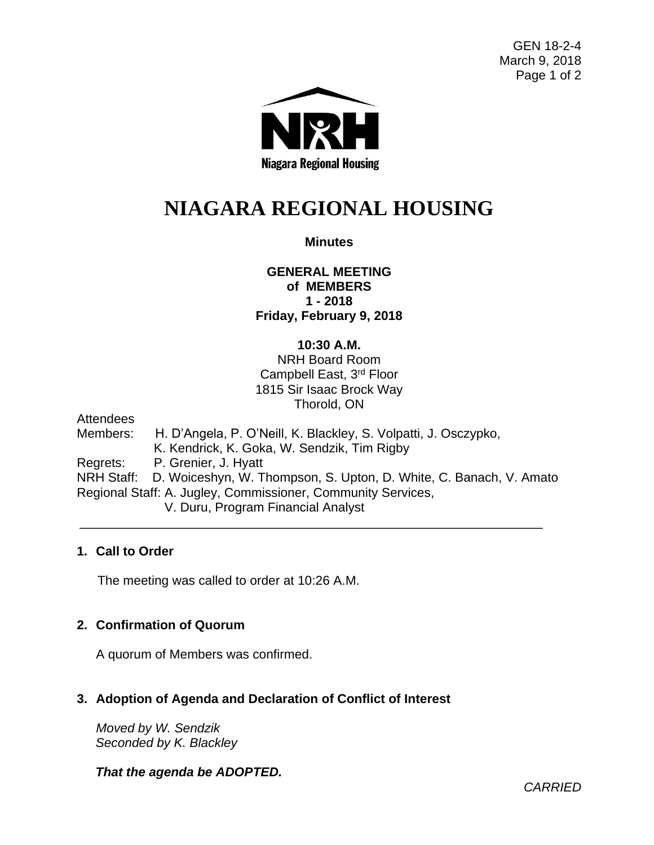GEN 18-2-4 March 9, 2018 Page 1 of 2



# **NIAGARA REGIONAL HOUSING**

## **Minutes**

## **GENERAL MEETING of MEMBERS 1 - 2018 Friday, February 9, 2018**

### **10:30 A.M.**

NRH Board Room Campbell East, 3rd Floor 1815 Sir Isaac Brock Way Thorold, ON

**Attendees** 

Members: H. D'Angela, P. O'Neill, K. Blackley, S. Volpatti, J. Osczypko, K. Kendrick, K. Goka, W. Sendzik, Tim Rigby Regrets: P. Grenier, J. Hyatt NRH Staff: D. Woiceshyn, W. Thompson, S. Upton, D. White, C. Banach, V. Amato Regional Staff: A. Jugley, Commissioner, Community Services, V. Duru, Program Financial Analyst

\_\_\_\_\_\_\_\_\_\_\_\_\_\_\_\_\_\_\_\_\_\_\_\_\_\_\_\_\_\_\_\_\_\_\_\_\_\_\_\_\_\_\_\_\_\_\_\_\_\_\_\_\_\_\_\_\_\_\_\_\_\_\_\_\_

### **1. Call to Order**

The meeting was called to order at 10:26 A.M.

### **2. Confirmation of Quorum**

A quorum of Members was confirmed.

### **3. Adoption of Agenda and Declaration of Conflict of Interest**

*Moved by W. Sendzik Seconded by K. Blackley*

### *That the agenda be ADOPTED.*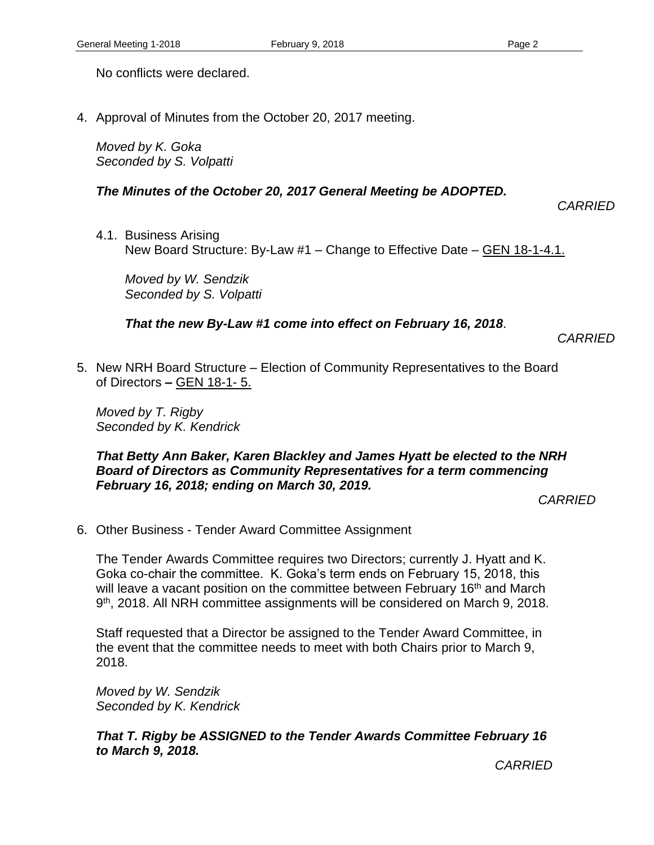No conflicts were declared.

4. Approval of Minutes from the October 20, 2017 meeting.

*Moved by K. Goka Seconded by S. Volpatti*

### *The Minutes of the October 20, 2017 General Meeting be ADOPTED.*

*CARRIED*

4.1. Business Arising New Board Structure: By-Law #1 – Change to Effective Date – GEN 18-1-4.1.

*Moved by W. Sendzik Seconded by S. Volpatti*

### *That the new By-Law #1 come into effect on February 16, 2018*.

*CARRIED*

5. New NRH Board Structure – Election of Community Representatives to the Board of Directors **–** GEN 18-1- 5.

*Moved by T. Rigby Seconded by K. Kendrick*

#### *That Betty Ann Baker, Karen Blackley and James Hyatt be elected to the NRH Board of Directors as Community Representatives for a term commencing February 16, 2018; ending on March 30, 2019.*

*CARRIED*

6. Other Business - Tender Award Committee Assignment

The Tender Awards Committee requires two Directors; currently J. Hyatt and K. Goka co-chair the committee. K. Goka's term ends on February 15, 2018, this will leave a vacant position on the committee between February 16<sup>th</sup> and March 9<sup>th</sup>, 2018. All NRH committee assignments will be considered on March 9, 2018.

Staff requested that a Director be assigned to the Tender Award Committee, in the event that the committee needs to meet with both Chairs prior to March 9, 2018.

*Moved by W. Sendzik Seconded by K. Kendrick*

*That T. Rigby be ASSIGNED to the Tender Awards Committee February 16 to March 9, 2018.*

*CARRIED*